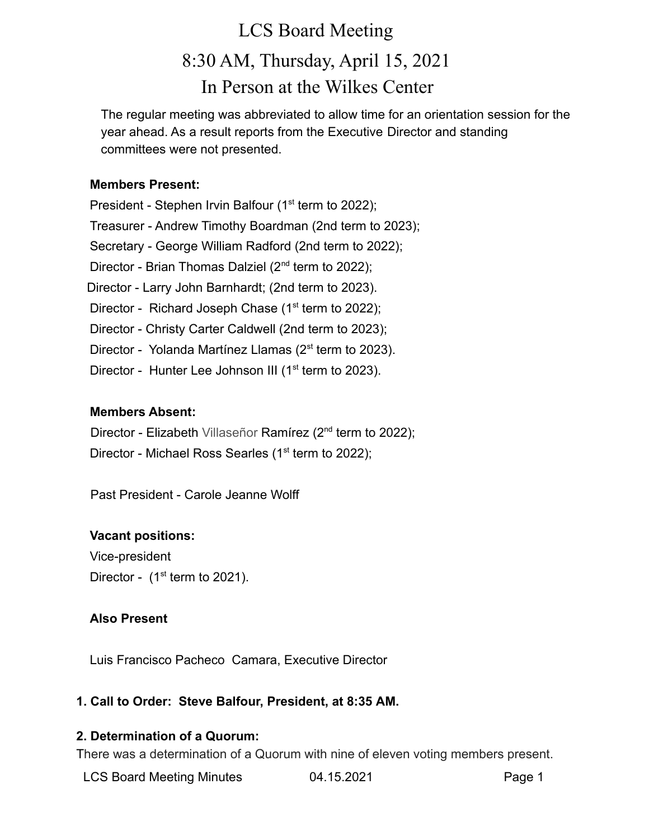# LCS Board Meeting 8:30 AM, Thursday, April 15, 2021 In Person at the Wilkes Center

The regular meeting was abbreviated to allow time for an orientation session for the year ahead. As a result reports from the Executive Director and standing committees were not presented.

#### **Members Present:**

President - Stephen Irvin Balfour ( $1<sup>st</sup>$  term to 2022); Treasurer - Andrew Timothy Boardman (2nd term to 2023); Secretary - George William Radford (2nd term to 2022); Director - Brian Thomas Dalziel (2<sup>nd</sup> term to 2022); Director - Larry John Barnhardt; (2nd term to 2023). Director - Richard Joseph Chase  $(1<sup>st</sup>$  term to 2022); Director - Christy Carter Caldwell (2nd term to 2023); Director - Yolanda Martínez Llamas (2<sup>st</sup> term to 2023). Director - Hunter Lee Johnson III ( $1<sup>st</sup>$  term to 2023).

#### **Members Absent:**

Director - Elizabeth Villaseñor Ramírez (2<sup>nd</sup> term to 2022);

Director - Michael Ross Searles (1<sup>st</sup> term to 2022);

Past President - Carole Jeanne Wolff

# **Vacant positions:**

Vice-president Director -  $(1<sup>st</sup>$  term to 2021).

#### **Also Present**

Luis Francisco Pacheco Camara, Executive Director

#### **1. Call to Order: Steve Balfour, President, at 8:35 AM.**

# **2. Determination of a Quorum:**

There was a determination of a Quorum with nine of eleven voting members present.

LCS Board Meeting Minutes **04.15.2021** Page 1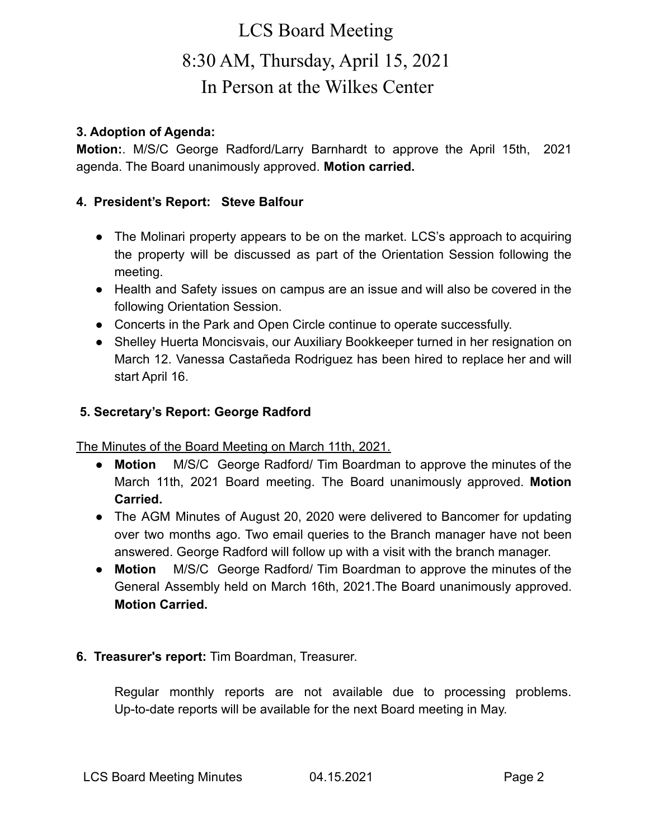# LCS Board Meeting 8:30 AM, Thursday, April 15, 2021 In Person at the Wilkes Center

#### **3. Adoption of Agenda:**

**Motion:**. M/S/C George Radford/Larry Barnhardt to approve the April 15th, 2021 agenda. The Board unanimously approved. **Motion carried.**

### **4. President's Report: Steve Balfour**

- The Molinari property appears to be on the market. LCS's approach to acquiring the property will be discussed as part of the Orientation Session following the meeting.
- Health and Safety issues on campus are an issue and will also be covered in the following Orientation Session.
- Concerts in the Park and Open Circle continue to operate successfully.
- Shelley Huerta Moncisvais, our Auxiliary Bookkeeper turned in her resignation on March 12. Vanessa Castañeda Rodriguez has been hired to replace her and will start April 16.

#### **5. Secretary's Report: George Radford**

The Minutes of the Board Meeting on March 11th, 2021.

- **Motion** M/S/C George Radford/ Tim Boardman to approve the minutes of the March 11th, 2021 Board meeting. The Board unanimously approved. **Motion Carried.**
- **●** The AGM Minutes of August 20, 2020 were delivered to Bancomer for updating over two months ago. Two email queries to the Branch manager have not been answered. George Radford will follow up with a visit with the branch manager.
- **● Motion** M/S/C George Radford/ Tim Boardman to approve the minutes of the General Assembly held on March 16th, 2021.The Board unanimously approved. **Motion Carried.**

# **6. Treasurer's report:** Tim Boardman, Treasurer.

Regular monthly reports are not available due to processing problems. Up-to-date reports will be available for the next Board meeting in May.